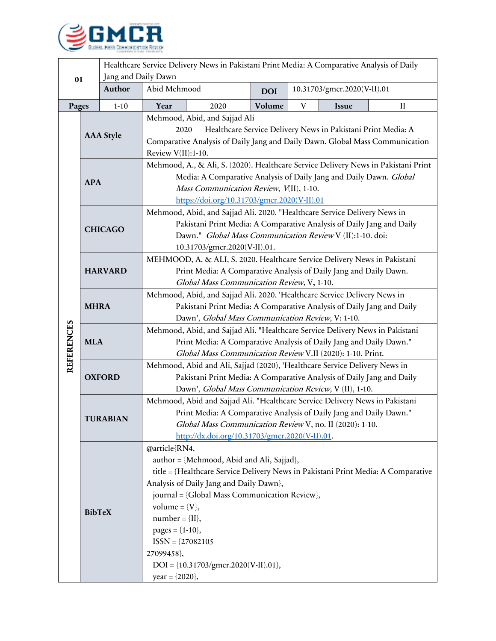

| 01                |                  | Healthcare Service Delivery News in Pakistani Print Media: A Comparative Analysis of Daily |                                                                                                                                    |      |            |                             |       |             |  |
|-------------------|------------------|--------------------------------------------------------------------------------------------|------------------------------------------------------------------------------------------------------------------------------------|------|------------|-----------------------------|-------|-------------|--|
|                   |                  | Jang and Daily Dawn                                                                        |                                                                                                                                    |      |            |                             |       |             |  |
|                   |                  | <b>Author</b>                                                                              | Abid Mehmood                                                                                                                       |      | <b>DOI</b> | 10.31703/gmcr.2020(V-II).01 |       |             |  |
| Pages             |                  | $1 - 10$                                                                                   | Year                                                                                                                               | 2020 | Volume     | $\mathbf V$                 | Issue | $_{\rm II}$ |  |
|                   |                  |                                                                                            | Mehmood, Abid, and Sajjad Ali                                                                                                      |      |            |                             |       |             |  |
|                   | <b>AAA</b> Style |                                                                                            | Healthcare Service Delivery News in Pakistani Print Media: A<br>2020                                                               |      |            |                             |       |             |  |
|                   |                  |                                                                                            | Comparative Analysis of Daily Jang and Daily Dawn. Global Mass Communication                                                       |      |            |                             |       |             |  |
|                   |                  |                                                                                            | Review V(II):1-10.                                                                                                                 |      |            |                             |       |             |  |
|                   | <b>APA</b>       |                                                                                            | Mehmood, A., & Ali, S. (2020). Healthcare Service Delivery News in Pakistani Print                                                 |      |            |                             |       |             |  |
|                   |                  |                                                                                            | Media: A Comparative Analysis of Daily Jang and Daily Dawn. Global                                                                 |      |            |                             |       |             |  |
|                   |                  |                                                                                            | Mass Communication Review, V(II), 1-10.                                                                                            |      |            |                             |       |             |  |
|                   |                  |                                                                                            | https://doi.org/10.31703/gmcr.2020(V-II).01                                                                                        |      |            |                             |       |             |  |
|                   | <b>CHICAGO</b>   |                                                                                            | Mehmood, Abid, and Sajjad Ali. 2020. "Healthcare Service Delivery News in                                                          |      |            |                             |       |             |  |
|                   |                  |                                                                                            | Pakistani Print Media: A Comparative Analysis of Daily Jang and Daily<br>Dawn." Global Mass Communication Review V (II):1-10. doi: |      |            |                             |       |             |  |
|                   |                  |                                                                                            | 10.31703/gmcr.2020(V-II).01.                                                                                                       |      |            |                             |       |             |  |
|                   | <b>HARVARD</b>   |                                                                                            | MEHMOOD, A. & ALI, S. 2020. Healthcare Service Delivery News in Pakistani                                                          |      |            |                             |       |             |  |
|                   |                  |                                                                                            | Print Media: A Comparative Analysis of Daily Jang and Daily Dawn.                                                                  |      |            |                             |       |             |  |
|                   |                  |                                                                                            | Global Mass Communication Review, V, 1-10.                                                                                         |      |            |                             |       |             |  |
|                   | <b>MHRA</b>      |                                                                                            | Mehmood, Abid, and Sajjad Ali. 2020. 'Healthcare Service Delivery News in                                                          |      |            |                             |       |             |  |
|                   |                  |                                                                                            | Pakistani Print Media: A Comparative Analysis of Daily Jang and Daily                                                              |      |            |                             |       |             |  |
|                   |                  |                                                                                            | Dawn', Global Mass Communication Review, V: 1-10.                                                                                  |      |            |                             |       |             |  |
|                   | <b>MLA</b>       |                                                                                            | Mehmood, Abid, and Sajjad Ali. "Healthcare Service Delivery News in Pakistani                                                      |      |            |                             |       |             |  |
|                   |                  |                                                                                            | Print Media: A Comparative Analysis of Daily Jang and Daily Dawn."                                                                 |      |            |                             |       |             |  |
| <b>REFERENCES</b> |                  |                                                                                            | Global Mass Communication Review V.II (2020): 1-10. Print.                                                                         |      |            |                             |       |             |  |
|                   | <b>OXFORD</b>    |                                                                                            | Mehmood, Abid and Ali, Sajjad (2020), 'Healthcare Service Delivery News in                                                         |      |            |                             |       |             |  |
|                   |                  |                                                                                            | Pakistani Print Media: A Comparative Analysis of Daily Jang and Daily                                                              |      |            |                             |       |             |  |
|                   |                  |                                                                                            | Dawn', Global Mass Communication Review, V (II), 1-10.                                                                             |      |            |                             |       |             |  |
|                   | <b>TURABIAN</b>  |                                                                                            | Mehmood, Abid and Sajjad Ali. "Healthcare Service Delivery News in Pakistani                                                       |      |            |                             |       |             |  |
|                   |                  |                                                                                            | Print Media: A Comparative Analysis of Daily Jang and Daily Dawn."                                                                 |      |            |                             |       |             |  |
|                   |                  |                                                                                            | Global Mass Communication Review V, no. II (2020): 1-10.<br>http://dx.doi.org/10.31703/gmcr.2020(V-II).01.                         |      |            |                             |       |             |  |
|                   |                  |                                                                                            | @article{RN4,                                                                                                                      |      |            |                             |       |             |  |
|                   | <b>BibTeX</b>    |                                                                                            | author = {Mehmood, Abid and Ali, Sajjad},                                                                                          |      |            |                             |       |             |  |
|                   |                  |                                                                                            | title = {Healthcare Service Delivery News in Pakistani Print Media: A Comparative                                                  |      |            |                             |       |             |  |
|                   |                  |                                                                                            | Analysis of Daily Jang and Daily Dawn},                                                                                            |      |            |                             |       |             |  |
|                   |                  |                                                                                            | journal = {Global Mass Communication Review},                                                                                      |      |            |                             |       |             |  |
|                   |                  |                                                                                            | volume = ${V}$ ,                                                                                                                   |      |            |                             |       |             |  |
|                   |                  |                                                                                            | $number = \{II\},\$                                                                                                                |      |            |                             |       |             |  |
|                   |                  |                                                                                            | pages = $\{1-10\}$ ,                                                                                                               |      |            |                             |       |             |  |
|                   |                  |                                                                                            | $ISSN = {27082105}$                                                                                                                |      |            |                             |       |             |  |
|                   |                  |                                                                                            | 27099458},                                                                                                                         |      |            |                             |       |             |  |
|                   |                  |                                                                                            | $DOI = \{10.31703/gmcr.2020(V-II).01\},$                                                                                           |      |            |                             |       |             |  |
|                   |                  |                                                                                            | $year = {2020},$                                                                                                                   |      |            |                             |       |             |  |